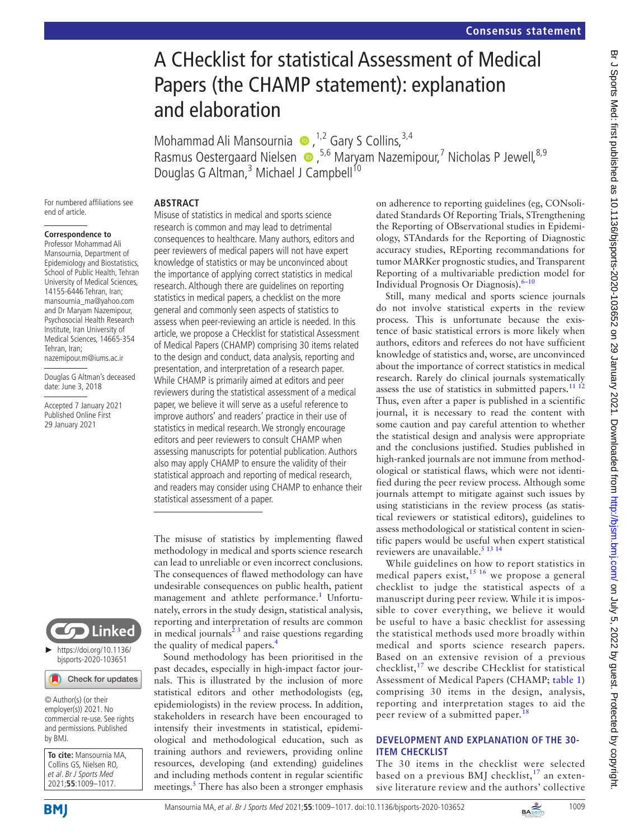# A CHecklist for statistical Assessment of Medical Papers (the CHAMP statement): explanation and elaboration

Mohammad Ali Mansournia  $\bullet$ ,<sup>1,2</sup> Gary S Collins,<sup>3,4</sup> Rasmus Oestergaard Nielsen  $\bullet$ ,<sup>5,6</sup> Maryam Nazemipour,<sup>7</sup> Nicholas P Jewell,<sup>8,9</sup> Douglas G Altman,<sup>3</sup> Michael J Campbell<sup>10</sup>

For numbered affiliations see end of article.

#### **Correspondence to**

Professor Mohammad Ali Mansournia, Department of Epidemiology and Biostatistics, School of Public Health, Tehran University of Medical Sciences, 14155-6446 Tehran, Iran; mansournia\_ma@yahoo.com and Dr Maryam Nazemipour, Psychosocial Health Research Institute, Iran University of Medical Sciences, 14665-354 Tehran, Iran; nazemipour.m@iums.ac.ir

Douglas G Altman's deceased date: June 3, 2018

Accepted 7 January 2021 Published Online First 29 January 2021



Misuse of statistics in medical and sports science research is common and may lead to detrimental consequences to healthcare. Many authors, editors and peer reviewers of medical papers will not have expert knowledge of statistics or may be unconvinced about the importance of applying correct statistics in medical research. Although there are guidelines on reporting statistics in medical papers, a checklist on the more general and commonly seen aspects of statistics to assess when peer-reviewing an article is needed. In this article, we propose a CHecklist for statistical Assessment of Medical Papers (CHAMP) comprising 30 items related to the design and conduct, data analysis, reporting and presentation, and interpretation of a research paper. While CHAMP is primarily aimed at editors and peer reviewers during the statistical assessment of a medical paper, we believe it will serve as a useful reference to improve authors' and readers' practice in their use of statistics in medical research. We strongly encourage editors and peer reviewers to consult CHAMP when assessing manuscripts for potential publication. Authors also may apply CHAMP to ensure the validity of their statistical approach and reporting of medical research, and readers may consider using CHAMP to enhance their statistical assessment of a paper.

The misuse of statistics by implementing flawed methodology in medical and sports science research can lead to unreliable or even incorrect conclusions. The consequences of flawed methodology can have undesirable consequences on public health, patient management and athlete performance.<sup>[1](#page-6-0)</sup> Unfortunately, errors in the study design, statistical analysis, reporting and interpretation of results are common in medical journals $^{23}$  and raise questions regarding the quality of medical papers.[4](#page-6-2)

Sound methodology has been prioritised in the past decades, especially in high-impact factor journals. This is illustrated by the inclusion of more statistical editors and other methodologists (eg, epidemiologists) in the review process. In addition, stakeholders in research have been encouraged to intensify their investments in statistical, epidemiological and methodological education, such as training authors and reviewers, providing online resources, developing (and extending) guidelines and including methods content in regular scientific meetings.<sup>5</sup> There has also been a stronger emphasis on adherence to reporting guidelines (eg, CONsolidated Standards Of Reporting Trials, STrengthening the Reporting of OBservational studies in Epidemiology, STAndards for the Reporting of Diagnostic accuracy studies, REporting recommandations for tumor MARKer prognostic studies, and Transparent Reporting of a multivariable prediction model for Individual Prognosis Or Diagnosis).<sup>6-10</sup>

Still, many medical and sports science journals do not involve statistical experts in the review process. This is unfortunate because the existence of basic statistical errors is more likely when authors, editors and referees do not have sufficient knowledge of statistics and, worse, are unconvinced about the importance of correct statistics in medical research. Rarely do clinical journals systematically assess the use of statistics in submitted papers. $11^{112}$ Thus, even after a paper is published in a scientific journal, it is necessary to read the content with some caution and pay careful attention to whether the statistical design and analysis were appropriate and the conclusions justified. Studies published in high-ranked journals are not immune from methodological or statistical flaws, which were not identified during the peer review process. Although some journals attempt to mitigate against such issues by using statisticians in the review process (as statistical reviewers or statistical editors), guidelines to assess methodological or statistical content in scientific papers would be useful when expert statistical reviewers are unavailable.<sup>5</sup> <sup>13</sup> <sup>14</sup>

While guidelines on how to report statistics in medical papers exist,  $15 \times 16$  we propose a general checklist to judge the statistical aspects of a manuscript during peer review. While it is impossible to cover everything, we believe it would be useful to have a basic checklist for assessing the statistical methods used more broadly within medical and sports science research papers. Based on an extensive revision of a previous checklist,[17](#page-6-7) we describe CHecklist for statistical Assessment of Medical Papers (CHAMP; [table](#page-1-0) 1) comprising 30 items in the design, analysis, reporting and interpretation stages to aid the peer review of a submitted paper.<sup>1</sup>

### **DEVELOPMENT AND EXPLANATION OF THE 30- ITEM CHECKLIST**

The 30 items in the checklist were selected based on a previous BMJ checklist,  $17$  an extensive literature review and the authors' collective



© Author(s) (or their employer(s)) 2021. No commercial re-use. See rights and permissions. Published by BMJ.

**To cite:** Mansournia MA, Collins GS, Nielsen RO, et al. Br J Sports Med 2021;**55**:1009–1017.

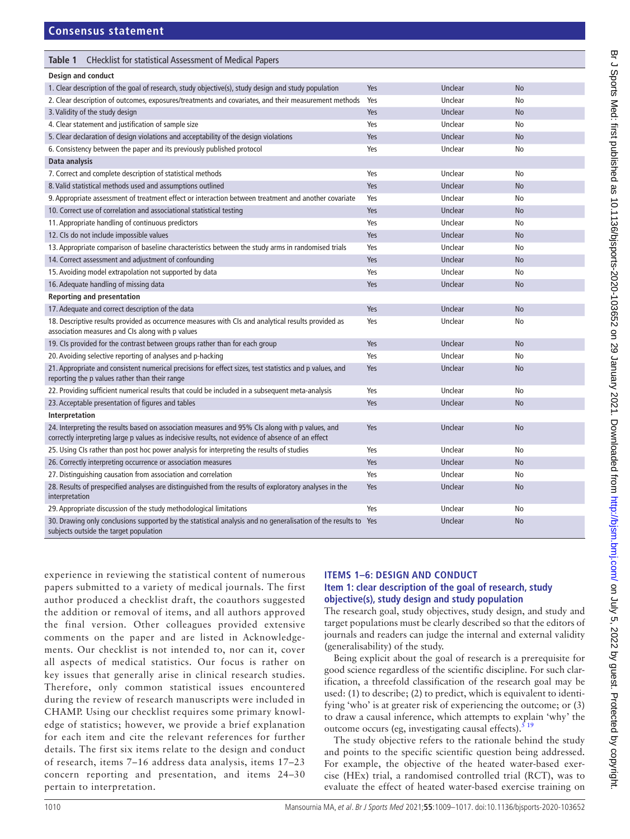<span id="page-1-0"></span>

| Table 1<br><b>CHecklist for statistical Assessment of Medical Papers</b>                                                                                                                             |     |         |           |
|------------------------------------------------------------------------------------------------------------------------------------------------------------------------------------------------------|-----|---------|-----------|
| Design and conduct                                                                                                                                                                                   |     |         |           |
| 1. Clear description of the goal of research, study objective(s), study design and study population                                                                                                  | Yes | Unclear | <b>No</b> |
| 2. Clear description of outcomes, exposures/treatments and covariates, and their measurement methods                                                                                                 | Yes | Unclear | No        |
| 3. Validity of the study design                                                                                                                                                                      | Yes | Unclear | <b>No</b> |
| 4. Clear statement and justification of sample size                                                                                                                                                  | Yes | Unclear | No        |
| 5. Clear declaration of design violations and acceptability of the design violations                                                                                                                 | Yes | Unclear | No        |
| 6. Consistency between the paper and its previously published protocol                                                                                                                               | Yes | Unclear | No        |
| Data analysis                                                                                                                                                                                        |     |         |           |
| 7. Correct and complete description of statistical methods                                                                                                                                           | Yes | Unclear | No        |
| 8. Valid statistical methods used and assumptions outlined                                                                                                                                           | Yes | Unclear | No        |
| 9. Appropriate assessment of treatment effect or interaction between treatment and another covariate                                                                                                 | Yes | Unclear | No        |
| 10. Correct use of correlation and associational statistical testing                                                                                                                                 | Yes | Unclear | <b>No</b> |
| 11. Appropriate handling of continuous predictors                                                                                                                                                    | Yes | Unclear | No        |
| 12. CIs do not include impossible values                                                                                                                                                             | Yes | Unclear | <b>No</b> |
| 13. Appropriate comparison of baseline characteristics between the study arms in randomised trials                                                                                                   | Yes | Unclear | No        |
| 14. Correct assessment and adjustment of confounding                                                                                                                                                 | Yes | Unclear | <b>No</b> |
| 15. Avoiding model extrapolation not supported by data                                                                                                                                               | Yes | Unclear | No        |
| 16. Adequate handling of missing data                                                                                                                                                                | Yes | Unclear | <b>No</b> |
| <b>Reporting and presentation</b>                                                                                                                                                                    |     |         |           |
| 17. Adequate and correct description of the data                                                                                                                                                     | Yes | Unclear | <b>No</b> |
| 18. Descriptive results provided as occurrence measures with CIs and analytical results provided as<br>association measures and CIs along with p values                                              | Yes | Unclear | No        |
| 19. Cls provided for the contrast between groups rather than for each group                                                                                                                          | Yes | Unclear | <b>No</b> |
| 20. Avoiding selective reporting of analyses and p-hacking                                                                                                                                           | Yes | Unclear | No        |
| 21. Appropriate and consistent numerical precisions for effect sizes, test statistics and p values, and<br>reporting the p values rather than their range                                            | Yes | Unclear | <b>No</b> |
| 22. Providing sufficient numerical results that could be included in a subsequent meta-analysis                                                                                                      | Yes | Unclear | No        |
| 23. Acceptable presentation of figures and tables                                                                                                                                                    | Yes | Unclear | <b>No</b> |
| Interpretation                                                                                                                                                                                       |     |         |           |
| 24. Interpreting the results based on association measures and 95% CIs along with p values, and<br>correctly interpreting large p values as indecisive results, not evidence of absence of an effect | Yes | Unclear | <b>No</b> |
| 25. Using CIs rather than post hoc power analysis for interpreting the results of studies                                                                                                            | Yes | Unclear | No        |
| 26. Correctly interpreting occurrence or association measures                                                                                                                                        | Yes | Unclear | <b>No</b> |
| 27. Distinguishing causation from association and correlation                                                                                                                                        | Yes | Unclear | No        |
| 28. Results of prespecified analyses are distinguished from the results of exploratory analyses in the<br>interpretation                                                                             | Yes | Unclear | No        |
| 29. Appropriate discussion of the study methodological limitations                                                                                                                                   | Yes | Unclear | No        |
| 30. Drawing only conclusions supported by the statistical analysis and no generalisation of the results to Yes<br>subjects outside the target population                                             |     | Unclear | <b>No</b> |

experience in reviewing the statistical content of numerous papers submitted to a variety of medical journals. The first author produced a checklist draft, the coauthors suggested the addition or removal of items, and all authors approved the final version. Other colleagues provided extensive comments on the paper and are listed in Acknowledgements. Our checklist is not intended to, nor can it, cover all aspects of medical statistics. Our focus is rather on key issues that generally arise in clinical research studies. Therefore, only common statistical issues encountered during the review of research manuscripts were included in CHAMP. Using our checklist requires some primary knowledge of statistics; however, we provide a brief explanation for each item and cite the relevant references for further details. The first six items relate to the design and conduct of research, items 7–16 address data analysis, items 17–23 concern reporting and presentation, and items 24–30 pertain to interpretation.

# **ITEMS 1–6: DESIGN AND CONDUCT**

#### **Item 1: clear description of the goal of research, study objective(s), study design and study population**

The research goal, study objectives, study design, and study and target populations must be clearly described so that the editors of journals and readers can judge the internal and external validity (generalisability) of the study.

Being explicit about the goal of research is a prerequisite for good science regardless of the scientific discipline. For such clarification, a threefold classification of the research goal may be used: (1) to describe; (2) to predict, which is equivalent to identifying 'who' is at greater risk of experiencing the outcome; or (3) to draw a causal inference, which attempts to explain 'why' the outcome occurs (eg, investigating causal effects). $5^{15}$ 

The study objective refers to the rationale behind the study and points to the specific scientific question being addressed. For example, the objective of the heated water-based exercise (HEx) trial, a randomised controlled trial (RCT), was to evaluate the effect of heated water-based exercise training on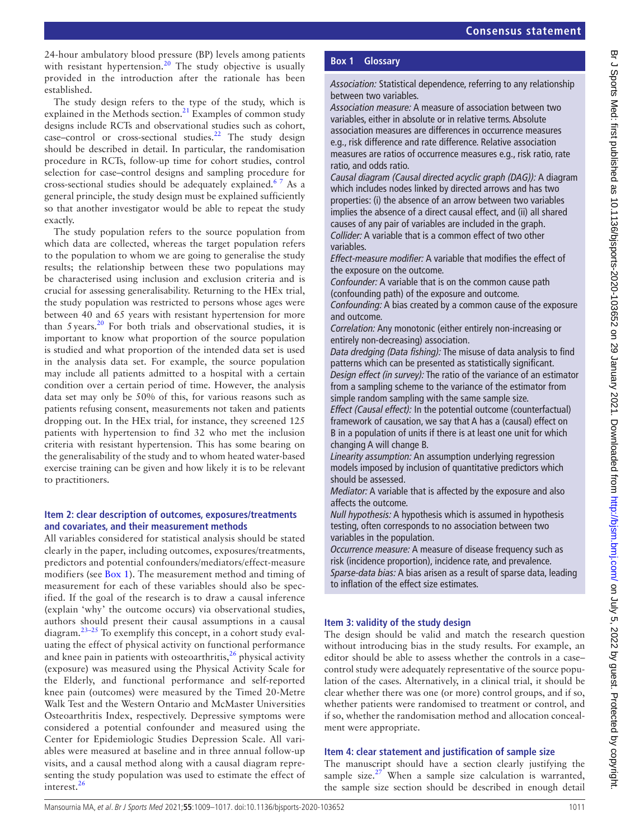24-hour ambulatory blood pressure (BP) levels among patients with resistant hypertension.<sup>20</sup> The study objective is usually provided in the introduction after the rationale has been established.

The study design refers to the type of the study, which is explained in the Methods section. $21$  Examples of common study designs include RCTs and observational studies such as cohort, case–control or cross-sectional studies.<sup>22</sup> The study design should be described in detail. In particular, the randomisation procedure in RCTs, follow-up time for cohort studies, control selection for case–control designs and sampling procedure for cross-sectional studies should be adequately explained.<sup>67</sup> As a general principle, the study design must be explained sufficiently so that another investigator would be able to repeat the study exactly.

The study population refers to the source population from which data are collected, whereas the target population refers to the population to whom we are going to generalise the study results; the relationship between these two populations may be characterised using inclusion and exclusion criteria and is crucial for assessing generalisability. Returning to the HEx trial, the study population was restricted to persons whose ages were between 40 and 65 years with resistant hypertension for more than 5years.[20](#page-6-9) For both trials and observational studies, it is important to know what proportion of the source population is studied and what proportion of the intended data set is used in the analysis data set. For example, the source population may include all patients admitted to a hospital with a certain condition over a certain period of time. However, the analysis data set may only be 50% of this, for various reasons such as patients refusing consent, measurements not taken and patients dropping out. In the HEx trial, for instance, they screened 125 patients with hypertension to find 32 who met the inclusion criteria with resistant hypertension. This has some bearing on the generalisability of the study and to whom heated water-based exercise training can be given and how likely it is to be relevant to practitioners.

### **Item 2: clear description of outcomes, exposures/treatments and covariates, and their measurement methods**

All variables considered for statistical analysis should be stated clearly in the paper, including outcomes, exposures/treatments, predictors and potential confounders/mediators/effect-measure modifiers (see [Box](#page-2-0) 1). The measurement method and timing of measurement for each of these variables should also be specified. If the goal of the research is to draw a causal inference (explain 'why' the outcome occurs) via observational studies, authors should present their causal assumptions in a causal diagram.<sup>23-25</sup> To exemplify this concept, in a cohort study evaluating the effect of physical activity on functional performance and knee pain in patients with osteoarthritis,  $^{26}$  physical activity (exposure) was measured using the Physical Activity Scale for the Elderly, and functional performance and self-reported knee pain (outcomes) were measured by the Timed 20-Metre Walk Test and the Western Ontario and McMaster Universities Osteoarthritis Index, respectively. Depressive symptoms were considered a potential confounder and measured using the Center for Epidemiologic Studies Depression Scale. All variables were measured at baseline and in three annual follow-up visits, and a causal method along with a causal diagram representing the study population was used to estimate the effect of interest.<sup>[26](#page-7-3)</sup>

## **Box 1 Glossary**

<span id="page-2-0"></span>*Association:* Statistical dependence, referring to any relationship between two variables.

*Association measure:* A measure of association between two variables, either in absolute or in relative terms. Absolute association measures are differences in occurrence measures e.g., risk difference and rate difference. Relative association measures are ratios of occurrence measures e.g., risk ratio, rate ratio, and odds ratio.

*Causal diagram (Causal directed acyclic graph (DAG)):* A diagram which includes nodes linked by directed arrows and has two properties: (i) the absence of an arrow between two variables implies the absence of a direct causal effect, and (ii) all shared causes of any pair of variables are included in the graph. *Collider:* A variable that is a common effect of two other variables.

*Effect-measure modifier:* A variable that modifies the effect of the exposure on the outcome.

*Confounder:* A variable that is on the common cause path (confounding path) of the exposure and outcome.

*Confounding:* A bias created by a common cause of the exposure and outcome.

*Correlation:* Any monotonic (either entirely non-increasing or entirely non-decreasing) association.

*Data dredging (Data fishing):* The misuse of data analysis to find patterns which can be presented as statistically significant. *Design effect (in survey):* The ratio of the variance of an estimator from a sampling scheme to the variance of the estimator from simple random sampling with the same sample size.

*Effect (Causal effect):* In the potential outcome (counterfactual) framework of causation, we say that A has a (causal) effect on B in a population of units if there is at least one unit for which changing A will change B.

*Linearity assumption:* An assumption underlying regression models imposed by inclusion of quantitative predictors which should be assessed.

*Mediator:* A variable that is affected by the exposure and also affects the outcome.

*Null hypothesis:* A hypothesis which is assumed in hypothesis testing, often corresponds to no association between two variables in the population.

*Occurrence measure:* A measure of disease frequency such as risk (incidence proportion), incidence rate, and prevalence. *Sparse-data bias:* A bias arisen as a result of sparse data, leading to inflation of the effect size estimates.

### **Item 3: validity of the study design**

The design should be valid and match the research question without introducing bias in the study results. For example, an editor should be able to assess whether the controls in a case– control study were adequately representative of the source population of the cases. Alternatively, in a clinical trial, it should be clear whether there was one (or more) control groups, and if so, whether patients were randomised to treatment or control, and if so, whether the randomisation method and allocation concealment were appropriate.

#### **Item 4: clear statement and justification of sample size**

The manuscript should have a section clearly justifying the sample size. $27$  When a sample size calculation is warranted, the sample size section should be described in enough detail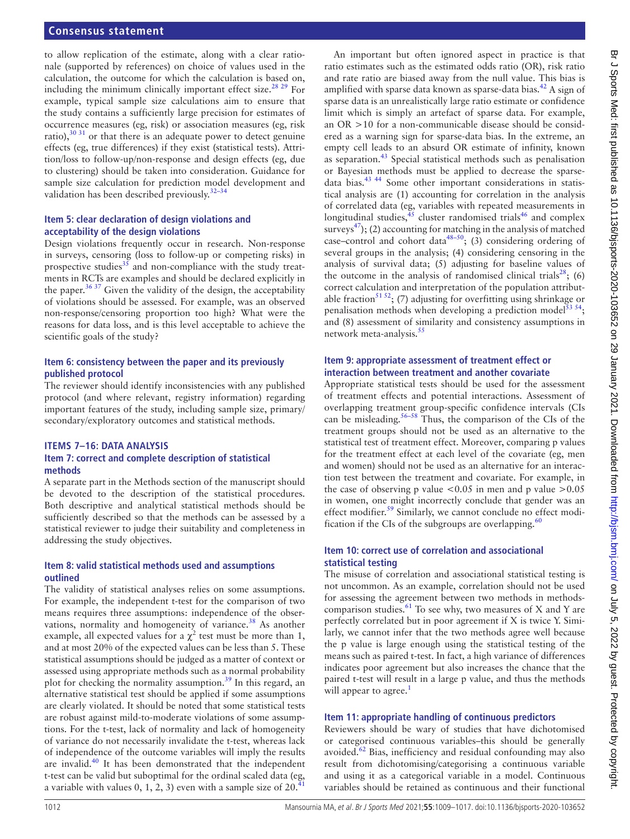#### **Consensus statement**

to allow replication of the estimate, along with a clear rationale (supported by references) on choice of values used in the calculation, the outcome for which the calculation is based on, including the minimum clinically important effect size.<sup>28</sup> <sup>29</sup> For example, typical sample size calculations aim to ensure that the study contains a sufficiently large precision for estimates of occurrence measures (eg, risk) or association measures (eg, risk ratio), $30\,31$  or that there is an adequate power to detect genuine effects (eg, true differences) if they exist (statistical tests). Attrition/loss to follow-up/non-response and design effects (eg, due to clustering) should be taken into consideration. Guidance for sample size calculation for prediction model development and validation has been described previously. $32-34$ 

#### **Item 5: clear declaration of design violations and acceptability of the design violations**

Design violations frequently occur in research. Non-response in surveys, censoring (loss to follow-up or competing risks) in prospective studies $35$  and non-compliance with the study treatments in RCTs are examples and should be declared explicitly in the paper.<sup>36 37</sup> Given the validity of the design, the acceptability of violations should be assessed. For example, was an observed non-response/censoring proportion too high? What were the reasons for data loss, and is this level acceptable to achieve the scientific goals of the study?

#### **Item 6: consistency between the paper and its previously published protocol**

The reviewer should identify inconsistencies with any published protocol (and where relevant, registry information) regarding important features of the study, including sample size, primary/ secondary/exploratory outcomes and statistical methods.

# **ITEMS 7–16: DATA ANALYSIS**

#### **Item 7: correct and complete description of statistical methods**

A separate part in the Methods section of the manuscript should be devoted to the description of the statistical procedures. Both descriptive and analytical statistical methods should be sufficiently described so that the methods can be assessed by a statistical reviewer to judge their suitability and completeness in addressing the study objectives.

#### **Item 8: valid statistical methods used and assumptions outlined**

The validity of statistical analyses relies on some assumptions. For example, the independent t-test for the comparison of two means requires three assumptions: independence of the observations, normality and homogeneity of variance.<sup>38</sup> As another example, all expected values for a  $\chi^2$  test must be more than 1, and at most 20% of the expected values can be less than 5. These statistical assumptions should be judged as a matter of context or assessed using appropriate methods such as a normal probability plot for checking the normality assumption.<sup>[39](#page-7-11)</sup> In this regard, an alternative statistical test should be applied if some assumptions are clearly violated. It should be noted that some statistical tests are robust against mild-to-moderate violations of some assumptions. For the t-test, lack of normality and lack of homogeneity of variance do not necessarily invalidate the t-test, whereas lack of independence of the outcome variables will imply the results are invalid. $40$  It has been demonstrated that the independent t-test can be valid but suboptimal for the ordinal scaled data (eg, a variable with values 0, 1, 2, 3) even with a sample size of  $20.4$ 

An important but often ignored aspect in practice is that ratio estimates such as the estimated odds ratio (OR), risk ratio and rate ratio are biased away from the null value. This bias is amplified with sparse data known as sparse-data bias. $^{42}$  $^{42}$  $^{42}$  A sign of sparse data is an unrealistically large ratio estimate or confidence limit which is simply an artefact of sparse data. For example, an OR >10 for a non-communicable disease should be considered as a warning sign for sparse-data bias. In the extreme, an empty cell leads to an absurd OR estimate of infinity, known as separation.[43](#page-7-15) Special statistical methods such as penalisation or Bayesian methods must be applied to decrease the sparsedata bias.[43 44](#page-7-15) Some other important considerations in statistical analysis are (1) accounting for correlation in the analysis of correlated data (eg, variables with repeated measurements in longitudinal studies,<sup>[45](#page-7-16)</sup> cluster randomised trials<sup>46</sup> and complex surveys<sup>[47](#page-7-18)</sup>); (2) accounting for matching in the analysis of matched case–control and cohort data<sup>48–50</sup>; (3) considering ordering of several groups in the analysis; (4) considering censoring in the analysis of survival data; (5) adjusting for baseline values of the outcome in the analysis of randomised clinical trials<sup>28</sup>; (6) correct calculation and interpretation of the population attributable fraction<sup>51 52</sup>; (7) adjusting for overfitting using shrinkage or penalisation methods when developing a prediction model<sup>[53 54](#page-7-21)</sup>; and (8) assessment of similarity and consistency assumptions in network meta-analysis.<sup>[55](#page-7-22)</sup>

#### **Item 9: appropriate assessment of treatment effect or interaction between treatment and another covariate**

Appropriate statistical tests should be used for the assessment of treatment effects and potential interactions. Assessment of overlapping treatment group-specific confidence intervals (CIs can be misleading.<sup>[56–58](#page-7-23)</sup> Thus, the comparison of the CIs of the treatment groups should not be used as an alternative to the statistical test of treatment effect. Moreover, comparing p values for the treatment effect at each level of the covariate (eg, men and women) should not be used as an alternative for an interaction test between the treatment and covariate. For example, in the case of observing p value  $< 0.05$  in men and p value  $> 0.05$ in women, one might incorrectly conclude that gender was an effect modifier.<sup>59</sup> Similarly, we cannot conclude no effect modification if the CIs of the subgroups are overlapping. $60$ 

#### **Item 10: correct use of correlation and associational statistical testing**

The misuse of correlation and associational statistical testing is not uncommon. As an example, correlation should not be used for assessing the agreement between two methods in methodscomparison studies.<sup>61</sup> To see why, two measures of X and Y are perfectly correlated but in poor agreement if X is twice Y. Similarly, we cannot infer that the two methods agree well because the p value is large enough using the statistical testing of the means such as paired t-test. In fact, a high variance of differences indicates poor agreement but also increases the chance that the paired t-test will result in a large p value, and thus the methods will appear to agree.<sup>[1](#page-6-0)</sup>

#### **Item 11: appropriate handling of continuous predictors**

Reviewers should be wary of studies that have dichotomised or categorised continuous variables–this should be generally avoided. $62$  Bias, inefficiency and residual confounding may also result from dichotomising/categorising a continuous variable and using it as a categorical variable in a model. Continuous variables should be retained as continuous and their functional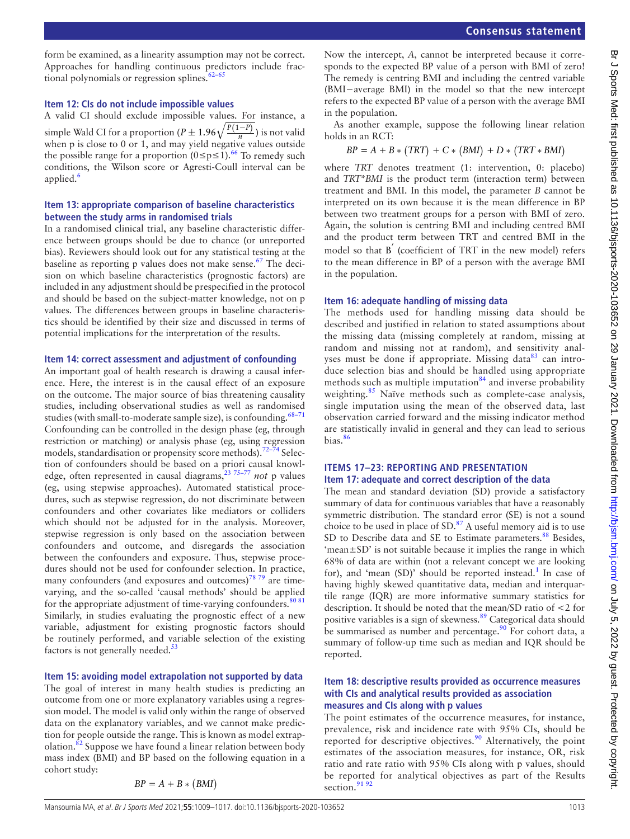form be examined, as a linearity assumption may not be correct. Approaches for handling continuous predictors include fractional polynomials or regression splines. $62-65$ 

#### **Item 12: CIs do not include impossible values**

A valid CI should exclude impossible values. For instance, a simple Wald CI for a proportion ( $P \pm 1.96\sqrt{\frac{P(1-P)}{n}}$ ) is not valid when p is close to 0 or 1, and may yield negative values outside the possible range for a proportion  $(0 \le p \le 1)$ .<sup>[66](#page-7-28)</sup> To remedy such conditions, the Wilson score or Agresti-Coull interval can be applied.<sup>[6](#page-6-4)</sup>

#### **Item 13: appropriate comparison of baseline characteristics between the study arms in randomised trials**

In a randomised clinical trial, any baseline characteristic difference between groups should be due to chance (or unreported bias). Reviewers should look out for any statistical testing at the baseline as reporting p values does not make sense.<sup>67</sup> The decision on which baseline characteristics (prognostic factors) are included in any adjustment should be prespecified in the protocol and should be based on the subject-matter knowledge, not on p values. The differences between groups in baseline characteristics should be identified by their size and discussed in terms of potential implications for the interpretation of the results.

#### **Item 14: correct assessment and adjustment of confounding**

An important goal of health research is drawing a causal inference. Here, the interest is in the causal effect of an exposure on the outcome. The major source of bias threatening causality studies, including observational studies as well as randomised studies (with small-to-moderate sample size), is confounding. $68-71$ Confounding can be controlled in the design phase (eg, through restriction or matching) or analysis phase (eg, using regression models, standardisation or propensity score methods).[72–74](#page-7-31) Selection of confounders should be based on a priori causal knowledge, often represented in causal diagrams,[23 75–77](#page-7-2) *not* p values (eg, using stepwise approaches). Automated statistical procedures, such as stepwise regression, do not discriminate between confounders and other covariates like mediators or colliders which should not be adjusted for in the analysis. Moreover, stepwise regression is only based on the association between confounders and outcome, and disregards the association between the confounders and exposure. Thus, stepwise procedures should not be used for confounder selection. In practice, many confounders (and exposures and outcomes) $78\frac{79}{2}$  are timevarying, and the so-called 'causal methods' should be applied for the appropriate adjustment of time-varying confounders. $\frac{80\,81}{80\,81}$ Similarly, in studies evaluating the prognostic effect of a new variable, adjustment for existing prognostic factors should be routinely performed, and variable selection of the existing factors is not generally needed. $53$ 

#### **Item 15: avoiding model extrapolation not supported by data**

The goal of interest in many health studies is predicting an outcome from one or more explanatory variables using a regression model. The model is valid only within the range of observed data on the explanatory variables, and we cannot make prediction for people outside the range. This is known as model extrap-olation.<sup>[82](#page-7-34)</sup> Suppose we have found a linear relation between body mass index (BMI) and BP based on the following equation in a cohort study:

$$
BP = A + B * (BMI)
$$

Now the intercept, *A*, cannot be interpreted because it corresponds to the expected BP value of a person with BMI of zero! The remedy is centring BMI and including the centred variable (BMI−average BMI) in the model so that the new intercept refers to the expected BP value of a person with the average BMI in the population.

As another example, suppose the following linear relation holds in an RCT:

$$
BP = A + B * (TRT) + C * (BMI) + D * (TRT * BMI)
$$

where *TRT* denotes treatment (1: intervention, 0: placebo) and *TRT*\**BMI* is the product term (interaction term) between treatment and BMI. In this model, the parameter *B* cannot be interpreted on its own because it is the mean difference in BP between two treatment groups for a person with BMI of zero. Again, the solution is centring BMI and including centred BMI and the product term between TRT and centred BMI in the model so that B *′* (coefficient of TRT in the new model) refers to the mean difference in BP of a person with the average BMI in the population.

#### **Item 16: adequate handling of missing data**

The methods used for handling missing data should be described and justified in relation to stated assumptions about the missing data (missing completely at random, missing at random and missing not at random), and sensitivity analyses must be done if appropriate. Missing data $83$  can introduce selection bias and should be handled using appropriate methods such as multiple imputation $84$  and inverse probability weighting.<sup>[85](#page-7-37)</sup> Naïve methods such as complete-case analysis, single imputation using the mean of the observed data, last observation carried forward and the missing indicator method are statistically invalid in general and they can lead to serious bias.[86](#page-7-38)

#### **ITEMS 17–23: REPORTING AND PRESENTATION Item 17: adequate and correct description of the data**

The mean and standard deviation (SD) provide a satisfactory summary of data for continuous variables that have a reasonably symmetric distribution. The standard error (SE) is not a sound choice to be used in place of  $SD.^{87}$  $SD.^{87}$  $SD.^{87}$  A useful memory aid is to use SD to Describe data and SE to Estimate parameters.<sup>[88](#page-7-40)</sup> Besides, 'mean±SD' is not suitable because it implies the range in which 68% of data are within (not a relevant concept we are looking for), and 'mean (SD)' should be reported instead.<sup>[1](#page-6-0)</sup> In case of having highly skewed quantitative data, median and interquartile range (IQR) are more informative summary statistics for description. It should be noted that the mean/SD ratio of <2 for positive variables is a sign of skewness.<sup>89</sup> Categorical data should be summarised as number and percentage.<sup>90</sup> For cohort data, a summary of follow-up time such as median and IQR should be reported.

#### **Item 18: descriptive results provided as occurrence measures with CIs and analytical results provided as association measures and CIs along with p values**

The point estimates of the occurrence measures, for instance, prevalence, risk and incidence rate with 95% CIs, should be reported for descriptive objectives.<sup>90</sup> Alternatively, the point estimates of the association measures, for instance, OR, risk ratio and rate ratio with 95% CIs along with p values, should be reported for analytical objectives as part of the Results section.<sup>[91 92](#page-7-43)</sup>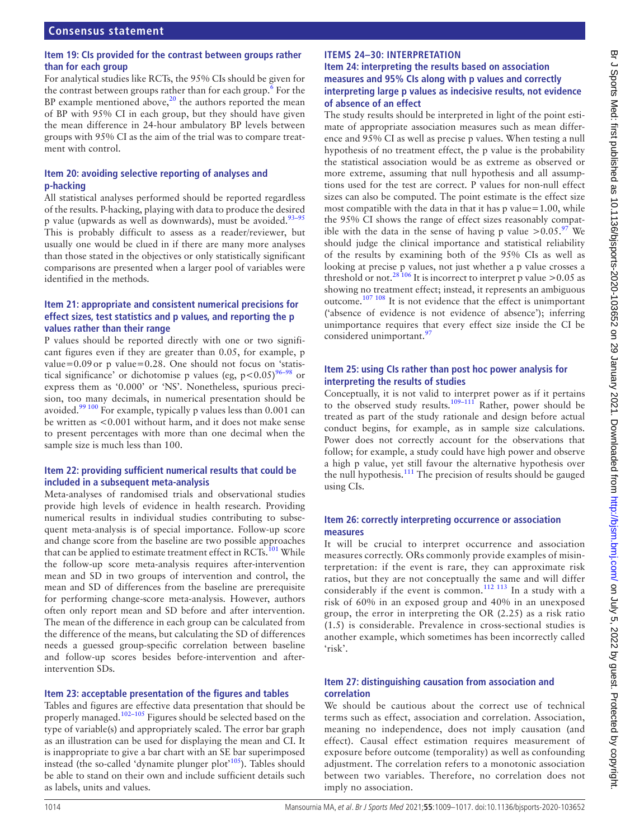#### **Item 19: CIs provided for the contrast between groups rather than for each group**

For analytical studies like RCTs, the 95% CIs should be given for the contrast between groups rather than for each group.<sup>[6](#page-6-4)</sup> For the BP example mentioned above, $2<sup>0</sup>$  the authors reported the mean of BP with 95% CI in each group, but they should have given the mean difference in 24-hour ambulatory BP levels between groups with 95% CI as the aim of the trial was to compare treatment with control.

#### **Item 20: avoiding selective reporting of analyses and p-hacking**

All statistical analyses performed should be reported regardless of the results. P-hacking, playing with data to produce the desired p value (upwards as well as downwards), must be avoided.<sup>[93–95](#page-7-44)</sup> This is probably difficult to assess as a reader/reviewer, but usually one would be clued in if there are many more analyses than those stated in the objectives or only statistically significant comparisons are presented when a larger pool of variables were identified in the methods.

#### **Item 21: appropriate and consistent numerical precisions for effect sizes, test statistics and p values, and reporting the p values rather than their range**

P values should be reported directly with one or two significant figures even if they are greater than 0.05, for example, p value=0.09or p value=0.28. One should not focus on 'statistical significance' or dichotomise p values (eg,  $p < 0.05$ )<sup>96–98</sup> or express them as '0.000' or 'NS'. Nonetheless, spurious precision, too many decimals, in numerical presentation should be avoided.[99 100](#page-8-1) For example, typically p values less than 0.001 can be written as <0.001 without harm, and it does not make sense to present percentages with more than one decimal when the sample size is much less than 100.

#### **Item 22: providing sufficient numerical results that could be included in a subsequent meta-analysis**

Meta-analyses of randomised trials and observational studies provide high levels of evidence in health research. Providing numerical results in individual studies contributing to subsequent meta-analysis is of special importance. Follow-up score and change score from the baseline are two possible approaches that can be applied to estimate treatment effect in  $\text{RCTs.}^{\,101}$  While the follow-up score meta-analysis requires after-intervention mean and SD in two groups of intervention and control, the mean and SD of differences from the baseline are prerequisite for performing change-score meta-analysis. However, authors often only report mean and SD before and after intervention. The mean of the difference in each group can be calculated from the difference of the means, but calculating the SD of differences needs a guessed group-specific correlation between baseline and follow-up scores besides before-intervention and afterintervention SDs.

#### **Item 23: acceptable presentation of the figures and tables**

Tables and figures are effective data presentation that should be properly managed.<sup>102-105</sup> Figures should be selected based on the type of variable(s) and appropriately scaled. The error bar graph as an illustration can be used for displaying the mean and CI. It is inappropriate to give a bar chart with an SE bar superimposed instead (the so-called 'dynamite plunger plot'<sup>105</sup>). Tables should be able to stand on their own and include sufficient details such as labels, units and values.

#### **Item 24: interpreting the results based on association measures and 95% CIs along with p values and correctly interpreting large p values as indecisive results, not evidence of absence of an effect**

The study results should be interpreted in light of the point estimate of appropriate association measures such as mean difference and 95% CI as well as precise p values. When testing a null hypothesis of no treatment effect, the p value is the probability the statistical association would be as extreme as observed or more extreme, assuming that null hypothesis and all assumptions used for the test are correct. P values for non-null effect sizes can also be computed. The point estimate is the effect size most compatible with the data in that it has p value=1.00, while the 95% CI shows the range of effect sizes reasonably compatible with the data in the sense of having p value  $> 0.05.^97$  We should judge the clinical importance and statistical reliability of the results by examining both of the 95% CIs as well as looking at precise p values, not just whether a p value crosses a threshold or not.<sup>[28 106](#page-7-5)</sup> It is incorrect to interpret p value >0.05 as showing no treatment effect; instead, it represents an ambiguous outcome.[107 108](#page-8-6) It is not evidence that the effect is unimportant ('absence of evidence is not evidence of absence'); inferring unimportance requires that every effect size inside the CI be considered unimportant.<sup>[97](#page-8-5)</sup>

#### **Item 25: using CIs rather than post hoc power analysis for interpreting the results of studies**

Conceptually, it is not valid to interpret power as if it pertains to the observed study results.<sup>109-111</sup> Rather, power should be treated as part of the study rationale and design before actual conduct begins, for example, as in sample size calculations. Power does not correctly account for the observations that follow; for example, a study could have high power and observe a high p value, yet still favour the alternative hypothesis over the null hypothesis.[111](#page-8-8) The precision of results should be gauged using CIs.

#### **Item 26: correctly interpreting occurrence or association measures**

It will be crucial to interpret occurrence and association measures correctly. ORs commonly provide examples of misinterpretation: if the event is rare, they can approximate risk ratios, but they are not conceptually the same and will differ considerably if the event is common.<sup>112 113</sup> In a study with a risk of 60% in an exposed group and 40% in an unexposed group, the error in interpreting the OR (2.25) as a risk ratio (1.5) is considerable. Prevalence in cross-sectional studies is another example, which sometimes has been incorrectly called 'risk'.

#### **Item 27: distinguishing causation from association and correlation**

We should be cautious about the correct use of technical terms such as effect, association and correlation. Association, meaning no independence, does not imply causation (and effect). Causal effect estimation requires measurement of exposure before outcome (temporality) as well as confounding adjustment. The correlation refers to a monotonic association between two variables. Therefore, no correlation does not imply no association.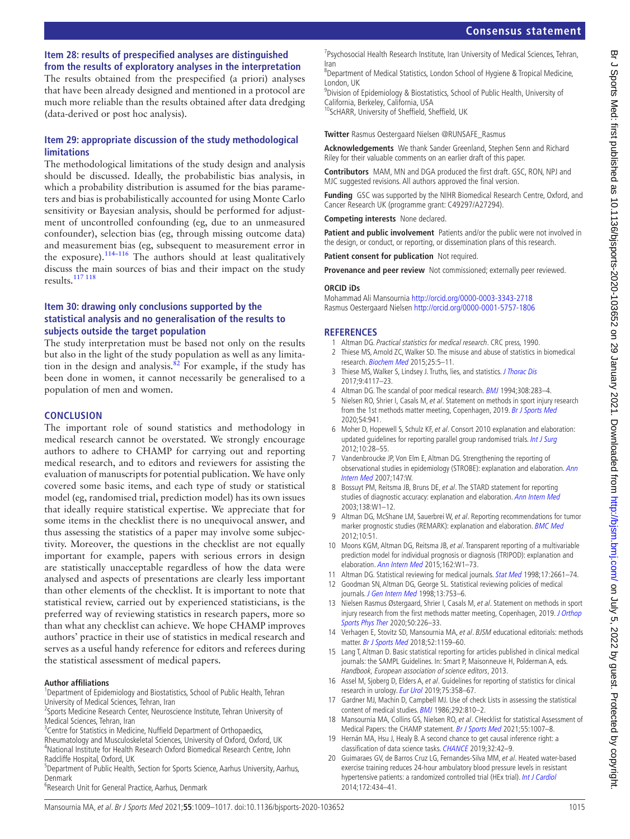#### **Item 28: results of prespecified analyses are distinguished from the results of exploratory analyses in the interpretation**

The results obtained from the prespecified (a priori) analyses that have been already designed and mentioned in a protocol are much more reliable than the results obtained after data dredging (data-derived or post hoc analysis).

#### **Item 29: appropriate discussion of the study methodological limitations**

The methodological limitations of the study design and analysis should be discussed. Ideally, the probabilistic bias analysis, in which a probability distribution is assumed for the bias parameters and bias is probabilistically accounted for using Monte Carlo sensitivity or Bayesian analysis, should be performed for adjustment of uncontrolled confounding (eg, due to an unmeasured confounder), selection bias (eg, through missing outcome data) and measurement bias (eg, subsequent to measurement error in the exposure).<sup>114–116</sup> The authors should at least qualitatively discuss the main sources of bias and their impact on the study results.[117 118](#page-8-11)

#### **Item 30: drawing only conclusions supported by the statistical analysis and no generalisation of the results to subjects outside the target population**

The study interpretation must be based not only on the results but also in the light of the study population as well as any limita-tion in the design and analysis.<sup>[82](#page-7-34)</sup> For example, if the study has been done in women, it cannot necessarily be generalised to a population of men and women.

#### **CONCLUSION**

The important role of sound statistics and methodology in medical research cannot be overstated. We strongly encourage authors to adhere to CHAMP for carrying out and reporting medical research, and to editors and reviewers for assisting the evaluation of manuscripts for potential publication. We have only covered some basic items, and each type of study or statistical model (eg, randomised trial, prediction model) has its own issues that ideally require statistical expertise. We appreciate that for some items in the checklist there is no unequivocal answer, and thus assessing the statistics of a paper may involve some subjectivity. Moreover, the questions in the checklist are not equally important for example, papers with serious errors in design are statistically unacceptable regardless of how the data were analysed and aspects of presentations are clearly less important than other elements of the checklist. It is important to note that statistical review, carried out by experienced statisticians, is the preferred way of reviewing statistics in research papers, more so than what any checklist can achieve. We hope CHAMP improves authors' practice in their use of statistics in medical research and serves as a useful handy reference for editors and referees during the statistical assessment of medical papers.

#### **Author affiliations**

<sup>1</sup>Department of Epidemiology and Biostatistics, School of Public Health, Tehran University of Medical Sciences, Tehran, Iran

<sup>2</sup>Sports Medicine Research Center, Neuroscience Institute, Tehran University of Medical Sciences, Tehran, Iran

- <sup>3</sup> Centre for Statistics in Medicine, Nuffield Department of Orthopaedics,
- Rheumatology and Musculoskeletal Sciences, University of Oxford, Oxford, UK

4 National Institute for Health Research Oxford Biomedical Research Centre, John Radcliffe Hospital, Oxford, UK

<sup>5</sup>Department of Public Health, Section for Sports Science, Aarhus University, Aarhus, Denmark

6 Research Unit for General Practice, Aarhus, Denmark

# **Consensus statement**

<sup>7</sup> Psychosocial Health Research Institute, Iran University of Medical Sciences, Tehran, Iran

<sup>8</sup>Department of Medical Statistics, London School of Hygiene & Tropical Medicine, London, UK

<sup>9</sup>Division of Epidemiology & Biostatistics, School of Public Health, University of California, Berkeley, California, USA

10ScHARR, University of Sheffield, Sheffield, UK

**Twitter** Rasmus Oestergaard Nielsen [@RUNSAFE\\_Rasmus](https://twitter.com/RUNSAFE_Rasmus)

**Acknowledgements** We thank Sander Greenland, Stephen Senn and Richard Riley for their valuable comments on an earlier draft of this paper.

**Contributors** MAM, MN and DGA produced the first draft. GSC, RON, NPJ and MJC suggested revisions. All authors approved the final version.

**Funding** GSC was supported by the NIHR Biomedical Research Centre, Oxford, and Cancer Research UK (programme grant: C49297/A27294).

**Competing interests** None declared.

Patient and public involvement Patients and/or the public were not involved in the design, or conduct, or reporting, or dissemination plans of this research.

**Patient consent for publication** Not required.

**Provenance and peer review** Not commissioned; externally peer reviewed.

#### **ORCID iDs**

Mohammad Ali Mansournia<http://orcid.org/0000-0003-3343-2718> Rasmus Oestergaard Nielsen <http://orcid.org/0000-0001-5757-1806>

#### **REFERENCES**

- <span id="page-6-0"></span>1 Altman DG. Practical statistics for medical research. CRC press, 1990.
- <span id="page-6-1"></span>2 Thiese MS, Arnold ZC, Walker SD. The misuse and abuse of statistics in biomedical research. [Biochem Med](http://dx.doi.org/10.11613/BM.2015.001) 2015;25:5–11.
- 3 Thiese MS, Walker S, Lindsey J. Truths, lies, and statistics. *[J Thorac Dis](http://dx.doi.org/10.21037/jtd.2017.09.24)* 2017;9:4117–23.
- <span id="page-6-2"></span>4 Altman DG. The scandal of poor medical research. [BMJ](http://dx.doi.org/10.1136/bmj.308.6924.283) 1994;308:283-4.
- <span id="page-6-3"></span>5 Nielsen RO, Shrier I, Casals M, et al. Statement on methods in sport injury research from the 1st methods matter meeting, Copenhagen, 2019. [Br J Sports Med](http://dx.doi.org/10.1136/bjsports-2019-101323) 2020;54:941.
- <span id="page-6-4"></span>6 Moher D, Hopewell S, Schulz KF, et al. Consort 2010 explanation and elaboration: updated quidelines for reporting parallel group randomised trials. [Int J Surg](http://dx.doi.org/10.1016/j.ijsu.2011.10.001) 2012;10:28–55.
- 7 Vandenbroucke JP, Von Elm E, Altman DG. Strengthening the reporting of observational studies in epidemiology (STROBE): explanation and elaboration. Ann [Intern Med](http://dx.doi.org/10.7326/0003-4819-147-8-200710160-00010-w1) 2007;147:W.
- 8 Bossuyt PM, Reitsma JB, Bruns DE, et al. The STARD statement for reporting studies of diagnostic accuracy: explanation and elaboration. [Ann Intern Med](http://dx.doi.org/10.7326/0003-4819-138-1-200301070-00012-w1) 2003;138:W1–12.
- 9 Altman DG, McShane LM, Sauerbrei W, et al. Reporting recommendations for tumor marker prognostic studies (REMARK): explanation and elaboration. **[BMC Med](http://dx.doi.org/10.1186/1741-7015-10-51)** 2012;10:51.
- 10 Moons KGM, Altman DG, Reitsma JB, et al. Transparent reporting of a multivariable prediction model for individual prognosis or diagnosis (TRIPOD): explanation and elaboration. [Ann Intern Med](http://dx.doi.org/10.7326/M14-0698) 2015;162:W1-73.
- <span id="page-6-5"></span>11 Altman DG. Statistical reviewing for medical journals. [Stat Med](http://dx.doi.org/10.1002/(SICI)1097-0258(19981215)17:23<2661::AID-SIM33>3.0.CO;2-B) 1998;17:2661-74.
- 12 Goodman SN, Altman DG, George SL. Statistical reviewing policies of medical journals. [J Gen Intern Med](http://dx.doi.org/10.1046/j.1525-1497.1998.00227.x) 1998;13:753-6.
- 13 Nielsen Rasmus Østergaard, Shrier I, Casals M, et al. Statement on methods in sport injury research from the first methods matter meeting, Copenhagen, 2019. J Orthop [Sports Phys Ther](http://dx.doi.org/10.2519/jospt.2020.9876) 2020;50:226–33.
- 14 Verhagen E, Stovitz SD, Mansournia MA, et al. BJSM educational editorials: methods matter. [Br J Sports Med](http://dx.doi.org/10.1136/bjsports-2017-097998) 2018;52:1159–60.
- <span id="page-6-6"></span>15 Lang T, Altman D. Basic statistical reporting for articles published in clinical medical journals: the SAMPL Guidelines. In: Smart P, Maisonneuve H, Polderman A, eds. Handbook, European association of science editors, 2013.
- 16 Assel M, Sjoberg D, Elders A, et al. Guidelines for reporting of statistics for clinical research in urology. [Eur Urol](http://dx.doi.org/10.1016/j.eururo.2018.12.014) 2019;75:358-67.
- <span id="page-6-7"></span>17 Gardner MJ, Machin D, Campbell MJ. Use of check Lists in assessing the statistical content of medical studies. [BMJ](http://dx.doi.org/10.1136/bmj.292.6523.810) 1986;292:810-2.
- <span id="page-6-8"></span>18 Mansournia MA, Collins GS, Nielsen RO, et al. CHecklist for statistical Assessment of Medical Papers: the CHAMP statement. [Br J Sports Med](http://dx.doi.org/10.1136/bjsports-2020-103651) 2021;55:1007-8.
- 19 Hernán MA, Hsu J, Healy B. A second chance to get causal inference right: a classification of data science tasks. [CHANCE](http://dx.doi.org/10.1080/09332480.2019.1579578) 2019;32:42–9.
- <span id="page-6-9"></span>20 Guimaraes GV, de Barros Cruz LG, Fernandes-Silva MM, et al. Heated water-based exercise training reduces 24-hour ambulatory blood pressure levels in resistant hypertensive patients: a randomized controlled trial (HEx trial). [Int J Cardiol](http://dx.doi.org/10.1016/j.ijcard.2014.01.100) 2014;172:434–41.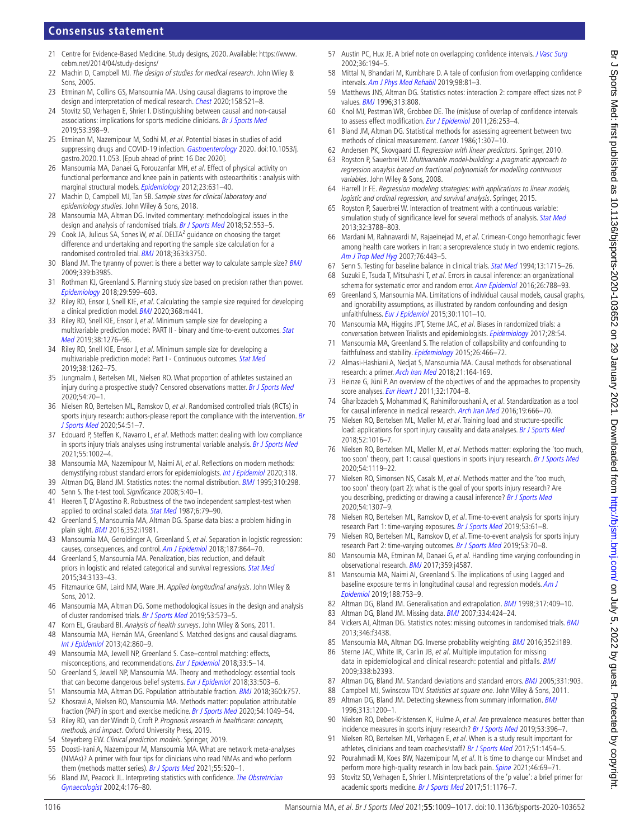# **Consensus statement**

- <span id="page-7-0"></span>21 Centre for Evidence-Based Medicine. Study designs, 2020. Available: [https://www.](https://www.cebm.net/2014/04/study-designs/) [cebm.net/2014/04/study-designs/](https://www.cebm.net/2014/04/study-designs/)
- <span id="page-7-1"></span>22 Machin D, Campbell MJ. The design of studies for medical research. John Wiley & Sons, 2005.
- <span id="page-7-2"></span>23 Etminan M, Collins GS, Mansournia MA. Using causal diagrams to improve the design and interpretation of medical research. [Chest](http://dx.doi.org/10.1016/j.chest.2020.03.011) 2020;158:S21-8.
- 24 Stovitz SD, Verhagen E, Shrier I. Distinguishing between causal and non-causal associations: implications for sports medicine clinicians. [Br J Sports Med](http://dx.doi.org/10.1136/bjsports-2017-098520) 2019;53:398–9.
- 25 Etminan M, Nazemipour M, Sodhi M, et al. Potential biases in studies of acid suppressing drugs and COVID-19 infection. [Gastroenterology](http://dx.doi.org/10.1053/j.gastro.2020.11.053) 2020. doi:10.1053/j. gastro.2020.11.053. [Epub ahead of print: 16 Dec 2020].
- <span id="page-7-3"></span>26 Mansournia MA, Danaei G, Forouzanfar MH, et al. Effect of physical activity on functional performance and knee pain in patients with osteoarthritis : analysis with marginal structural models. [Epidemiology](http://dx.doi.org/10.1097/EDE.0b013e31824cc1c3) 2012;23:631-40.
- <span id="page-7-4"></span>27 Machin D, Campbell MJ, Tan SB. Sample sizes for clinical laboratory and epidemiology studies. John Wiley & Sons, 2018.
- <span id="page-7-5"></span>28 Mansournia MA, Altman DG. Invited commentary: methodological issues in the design and analysis of randomised trials. [Br J Sports Med](http://dx.doi.org/10.1136/bjsports-2017-098245) 2018;52:553-5.
- 29 Cook JA, Julious SA, Sones W, et al. DELTA<sup>2</sup> guidance on choosing the target difference and undertaking and reporting the sample size calculation for a randomised controlled trial. **[BMJ](http://dx.doi.org/10.1136/bmj.k3750)** 2018;363:k3750.
- <span id="page-7-6"></span>30 Bland JM. The tyranny of power: is there a better way to calculate sample size? [BMJ](http://dx.doi.org/10.1136/bmj.b3985) 2009;339:b3985.
- 31 Rothman KJ, Greenland S. Planning study size based on precision rather than power. [Epidemiology](http://dx.doi.org/10.1097/EDE.0000000000000876) 2018;29:599–603.
- <span id="page-7-7"></span>32 Riley RD, Ensor J, Snell KIE, et al. Calculating the sample size required for developing a clinical prediction model. **[BMJ](http://dx.doi.org/10.1136/bmj.m441)** 2020;368:m441.
- 33 Riley RD, Snell KIE, Ensor J, et al. Minimum sample size for developing a multivariable prediction model: PART II - binary and time-to-event outcomes. Stat [Med](http://dx.doi.org/10.1002/sim.7992) 2019;38:1276–96.
- 34 Riley RD, Snell KIE, Ensor J, et al. Minimum sample size for developing a multivariable prediction model: Part I - Continuous outcomes. [Stat Med](http://dx.doi.org/10.1002/sim.7993) 2019;38:1262–75.
- <span id="page-7-8"></span>35 Jungmalm J, Bertelsen ML, Nielsen RO. What proportion of athletes sustained an injury during a prospective study? Censored observations matter. [Br J Sports Med](http://dx.doi.org/10.1136/bjsports-2018-100440) 2020;54:70–1.
- <span id="page-7-9"></span>36 Nielsen RO, Bertelsen ML, Ramskov D, et al. Randomised controlled trials (RCTs) in sports injury research: authors-please report the compliance with the intervention. Br [J Sports Med](http://dx.doi.org/10.1136/bjsports-2019-100858) 2020;54:51–7.
- 37 Edouard P, Steffen K, Navarro L, et al. Methods matter: dealing with low compliance in sports injury trials analyses using instrumental variable analysis. [Br J Sports Med](http://dx.doi.org/10.1136/bjsports-2020-102155) 2021;55:1002–4.
- <span id="page-7-10"></span>38 Mansournia MA, Nazemipour M, Naimi AI, et al. Reflections on modern methods: demystifying robust standard errors for epidemiologists. [Int J Epidemiol](http://dx.doi.org/10.1093/ije/dyaa260) 2020;318.
- <span id="page-7-12"></span><span id="page-7-11"></span>39 Altman DG, Bland JM. Statistics notes: the normal distribution. [BMJ](http://dx.doi.org/10.1136/bmj.310.6975.298) 1995;310:298. 40 Senn S. The t-test tool. Significance 2008;5:40–1.
- <span id="page-7-13"></span>41 Heeren T, D'Agostino R. Robustness of the two independent samplest-test when applied to ordinal scaled data. [Stat Med](http://dx.doi.org/10.1002/sim.4780060110) 1987;6:79–90.
- <span id="page-7-14"></span>42 Greenland S, Mansournia MA, Altman DG. Sparse data bias: a problem hiding in plain sight. **[BMJ](http://dx.doi.org/10.1136/bmj.i1981)** 2016;352:i1981.
- <span id="page-7-15"></span>43 Mansournia MA, Geroldinger A, Greenland S, et al. Separation in logistic regression: causes, consequences, and control. [Am J Epidemiol](http://dx.doi.org/10.1093/aje/kwx299) 2018;187:864–70.
- 44 Greenland S, Mansournia MA. Penalization, bias reduction, and default priors in logistic and related categorical and survival regressions. [Stat Med](http://dx.doi.org/10.1002/sim.6537) 2015;34:3133–43.
- <span id="page-7-16"></span>45 Fitzmaurice GM, Laird NM, Ware JH. Applied longitudinal analysis. John Wiley & Sons, 2012.
- <span id="page-7-17"></span>46 Mansournia MA, Altman DG. Some methodological issues in the design and analysis of cluster randomised trials. [Br J Sports Med](http://dx.doi.org/10.1136/bjsports-2018-099628) 2019;53:573-5.
- <span id="page-7-18"></span>47 Korn EL, Graubard BI. Analysis of health surveys. John Wiley & Sons, 2011.
- <span id="page-7-19"></span>48 Mansournia MA, Hernán MA, Greenland S. Matched designs and causal diagrams. [Int J Epidemiol](http://dx.doi.org/10.1093/ije/dyt083) 2013;42:860–9.
- 49 Mansournia MA, Jewell NP, Greenland S. Case–control matching: effects, misconceptions, and recommendations. [Eur J Epidemiol](http://dx.doi.org/10.1007/s10654-017-0325-0) 2018;33:5–14.
- 50 Greenland S, Jewell NP, Mansournia MA. Theory and methodology: essential tools that can become dangerous belief systems. [Eur J Epidemiol](http://dx.doi.org/10.1007/s10654-018-0395-7) 2018;33:503-6.
- <span id="page-7-20"></span>51 Mansournia MA, Altman DG. Population attributable fraction. **[BMJ](http://dx.doi.org/10.1136/bmj.k757)** 2018;360:k757. 52 Khosravi A, Nielsen RO, Mansournia MA. Methods matter: population attributable
- <span id="page-7-21"></span>fraction (PAF) in sport and exercise medicine. [Br J Sports Med](http://dx.doi.org/10.1136/bjsports-2020-101977) 2020:54:1049-54. 53 Riley RD, van der Windt D, Croft P. Prognosis research in healthcare: concepts, methods, and impact. Oxford University Press, 2019.
- 54 Steyerberg EW. Clinical prediction models. Springer, 2019.
- <span id="page-7-22"></span>55 Doosti-Irani A, Nazemipour M, Mansournia MA. What are network meta-analyses (NMAs)? A primer with four tips for clinicians who read NMAs and who perform them (methods matter series). [Br J Sports Med](http://dx.doi.org/10.1136/bjsports-2020-102872) 2021;55:520-1.
- <span id="page-7-23"></span>56 Bland JM, Peacock JL. Interpreting statistics with confidence. The Obstetrician [Gynaecologist](http://dx.doi.org/10.1576/toag.2002.4.3.176) 2002;4:176–80.
- 57 Austin PC, Hux JE. A brief note on overlapping confidence intervals. [J Vasc Surg](http://dx.doi.org/10.1067/mva.2002.125015) 2002;36:194–5.
- 58 Mittal N, Bhandari M, Kumbhare D. A tale of confusion from overlapping confidence intervals. [Am J Phys Med Rehabil](http://dx.doi.org/10.1097/PHM.0000000000001016) 2019;98:81–3.
- <span id="page-7-24"></span>59 Matthews JNS, Altman DG. Statistics notes: interaction 2: compare effect sizes not P values. [BMJ](http://dx.doi.org/10.1136/bmj.313.7060.808) 1996;313:808.
- <span id="page-7-25"></span>60 Knol MJ, Pestman WR, Grobbee DE. The (mis)use of overlap of confidence intervals to assess effect modification. [Eur J Epidemiol](http://dx.doi.org/10.1007/s10654-011-9563-8) 2011;26:253-4.
- <span id="page-7-26"></span>Bland JM, Altman DG. Statistical methods for assessing agreement between two methods of clinical measurement. Lancet 1986;1:307-10.
- <span id="page-7-27"></span>62 Andersen PK, Skovgaard LT. Regression with linear predictors. Springer, 2010.
- 63 Royston P, Sauerbrei W. Multivariable model-building: a pragmatic approach to regression anaylsis based on fractional polynomials for modelling continuous variables. John Wiley & Sons, 2008.
- 64 Harrell Jr FE. Regression modeling strategies: with applications to linear models, logistic and ordinal regression, and survival analysis. Springer, 2015.
- 65 Royston P, Sauerbrei W. Interaction of treatment with a continuous variable: simulation study of significance level for several methods of analysis. [Stat Med](http://dx.doi.org/10.1002/sim.5813) 2013;32:3788–803.
- <span id="page-7-28"></span>66 Mardani M, Rahnavardi M, Rajaeinejad M, et al. Crimean-Congo hemorrhagic fever among health care workers in Iran: a seroprevalence study in two endemic regions. [Am J Trop Med Hyg](http://dx.doi.org/10.4269/ajtmh.2007.76.443) 2007;76:443-5.
- <span id="page-7-29"></span>67 Senn S. Testing for baseline balance in clinical trials. [Stat Med](http://dx.doi.org/10.1002/sim.4780131703) 1994;13:1715–26.
- <span id="page-7-30"></span>68 Suzuki E, Tsuda T, Mitsuhashi T, et al. Errors in causal inference: an organizational schema for systematic error and random error. [Ann Epidemiol](http://dx.doi.org/10.1016/j.annepidem.2016.09.008) 2016;26:788-93.
- 69 Greenland S, Mansournia MA. Limitations of individual causal models, causal graphs, and ignorability assumptions, as illustrated by random confounding and design unfaithfulness. [Eur J Epidemiol](http://dx.doi.org/10.1007/s10654-015-9995-7) 2015;30:1101-10.
- 70 Mansournia MA, Higgins JPT, Sterne JAC, et al. Biases in randomized trials: a conversation between Trialists and epidemiologists. [Epidemiology](http://dx.doi.org/10.1097/EDE.0000000000000564) 2017;28:54.
- 71 Mansournia MA, Greenland S. The relation of collapsibility and confounding to faithfulness and stability. [Epidemiology](http://dx.doi.org/10.1097/EDE.0000000000000291) 2015;26:466-72.
- <span id="page-7-31"></span>72 Almasi-Hashiani A, Nedjat S, Mansournia MA. Causal methods for observational research: a primer. [Arch Iran Med](http://www.ncbi.nlm.nih.gov/pubmed/29693407) 2018;21:164-169.
- 73 Heinze G, Jüni P. An overview of the objectives of and the approaches to propensity score analyses. [Eur Heart J](http://dx.doi.org/10.1093/eurheartj/ehr031) 2011;32:1704-8.
- 74 Gharibzadeh S, Mohammad K, Rahimiforoushani A, et al. Standardization as a tool for causal inference in medical research. [Arch Iran Med](http://dx.doi.org/0161909/AIM.0011) 2016;19:666-70.
- 75 Nielsen RO, Bertelsen ML, Møller M, et al. Training load and structure-specific load: applications for sport injury causality and data analyses. [Br J Sports Med](http://dx.doi.org/10.1136/bjsports-2017-097838) 2018;52:1016–7.
- 76 Nielsen RO, Bertelsen ML, Møller M, et al. Methods matter: exploring the 'too much, too soon' theory, part 1: causal questions in sports injury research. [Br J Sports Med](http://dx.doi.org/10.1136/bjsports-2018-100245) 2020;54:1119–22.
- 77 Nielsen RO, Simonsen NS, Casals M, et al. Methods matter and the 'too much, too soon' theory (part 2): what is the goal of your sports injury research? Are you describing, predicting or drawing a causal inference? [Br J Sports Med](http://dx.doi.org/10.1136/bjsports-2020-102144) 2020;54:1307–9.
- <span id="page-7-32"></span>78 Nielsen RO, Bertelsen ML, Ramskov D, et al. Time-to-event analysis for sports injury research Part 1: time-varying exposures. [Br J Sports Med](http://dx.doi.org/10.1136/bjsports-2018-099408) 2019;53:61–8.
- 79 Nielsen RO, Bertelsen ML, Ramskov D, et al. Time-to-event analysis for sports injury research Part 2: time-varying outcomes. [Br J Sports Med](http://dx.doi.org/10.1136/bjsports-2018-100000) 2019;53:70-8.
- <span id="page-7-33"></span>80 Mansournia MA, Etminan M, Danaei G, et al. Handling time varying confounding in observational research. [BMJ](http://dx.doi.org/10.1136/bmj.j4587) 2017;359:j4587.
- 81 Mansournia MA, Naimi AI, Greenland S. The implications of using Lagged and baseline exposure terms in longitudinal causal and regression models. Am J [Epidemiol](http://dx.doi.org/10.1093/aje/kwy273) 2019;188:753–9.
- <span id="page-7-34"></span>82 Altman DG, Bland JM. Generalisation and extrapolation. [BMJ](http://dx.doi.org/10.1136/bmj.317.7155.409) 1998;317:409-10.
- <span id="page-7-35"></span>83 Altman DG, Bland JM. Missing data. **[BMJ](http://dx.doi.org/10.1136/bmj.38977.682025.2C)** 2007;334:424-24.
- <span id="page-7-36"></span>84 Vickers AJ, Altman DG. Statistics notes: missing outcomes in randomised trials. [BMJ](http://dx.doi.org/10.1136/bmj.f3438) 2013;346:f3438.
- <span id="page-7-37"></span>85 Mansournia MA, Altman DG. Inverse probability weighting. **[BMJ](http://dx.doi.org/10.1136/bmj.i189) 2016**;352:i189.
- <span id="page-7-38"></span>86 Sterne JAC, White IR, Carlin JB, et al. Multiple imputation for missing data in epidemiological and clinical research: potential and pitfalls. [BMJ](http://dx.doi.org/10.1136/bmj.b2393) 2009;338:b2393.
- <span id="page-7-39"></span>87 Altman DG, Bland JM. Standard deviations and standard errors. [BMJ](http://dx.doi.org/10.1136/bmj.331.7521.903) 2005;331:903.
- <span id="page-7-40"></span>Campbell MJ, Swinscow TDV. Statistics at square one. John Wiley & Sons, 2011.
- <span id="page-7-41"></span>89 Altman DG, Bland JM. Detecting skewness from summary information. [BMJ](http://dx.doi.org/10.1136/bmj.313.7066.1200) 1996;313:1200–1.
- <span id="page-7-42"></span>90 Nielsen RO, Debes-Kristensen K, Hulme A, et al. Are prevalence measures better than incidence measures in sports injury research? [Br J Sports Med](http://dx.doi.org/10.1136/bjsports-2017-098205) 2019;53:396-7.
- <span id="page-7-43"></span>91 Nielsen RO, Bertelsen ML, Verhagen E, et al. When is a study result important for athletes, clinicians and team coaches/staff? [Br J Sports Med](http://dx.doi.org/10.1136/bjsports-2017-097759) 2017;51:1454-5.
- 92 Pourahmadi M, Koes BW, Nazemipour M, et al. It is time to change our Mindset and perform more high-quality research in low back pain. [Spine](http://dx.doi.org/10.1097/BRS.0000000000003712) 2021;46:69-71.
- <span id="page-7-44"></span>93 Stovitz SD, Verhagen E, Shrier I. Misinterpretations of the 'p value': a brief primer for academic sports medicine. [Br J Sports Med](http://dx.doi.org/10.1136/bjsports-2016-097072) 2017;51:1176-7.